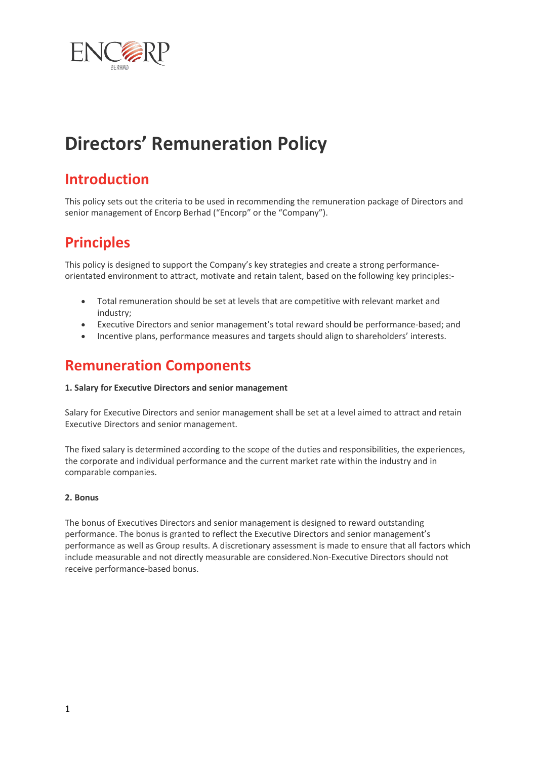

# **Directors' Remuneration Policy**

## **Introduction**

This policy sets out the criteria to be used in recommending the remuneration package of Directors and senior management of Encorp Berhad ("Encorp" or the "Company").

# **Principles**

This policy is designed to support the Company's key strategies and create a strong performanceorientated environment to attract, motivate and retain talent, based on the following key principles:-

- Total remuneration should be set at levels that are competitive with relevant market and industry;
- Executive Directors and senior management's total reward should be performance-based; and
- Incentive plans, performance measures and targets should align to shareholders' interests.

### **Remuneration Components**

#### **1. Salary for Executive Directors and senior management**

Salary for Executive Directors and senior management shall be set at a level aimed to attract and retain Executive Directors and senior management.

The fixed salary is determined according to the scope of the duties and responsibilities, the experiences, the corporate and individual performance and the current market rate within the industry and in comparable companies.

#### **2. Bonus**

The bonus of Executives Directors and senior management is designed to reward outstanding performance. The bonus is granted to reflect the Executive Directors and senior management's performance as well as Group results. A discretionary assessment is made to ensure that all factors which include measurable and not directly measurable are considered.Non-Executive Directors should not receive performance-based bonus.